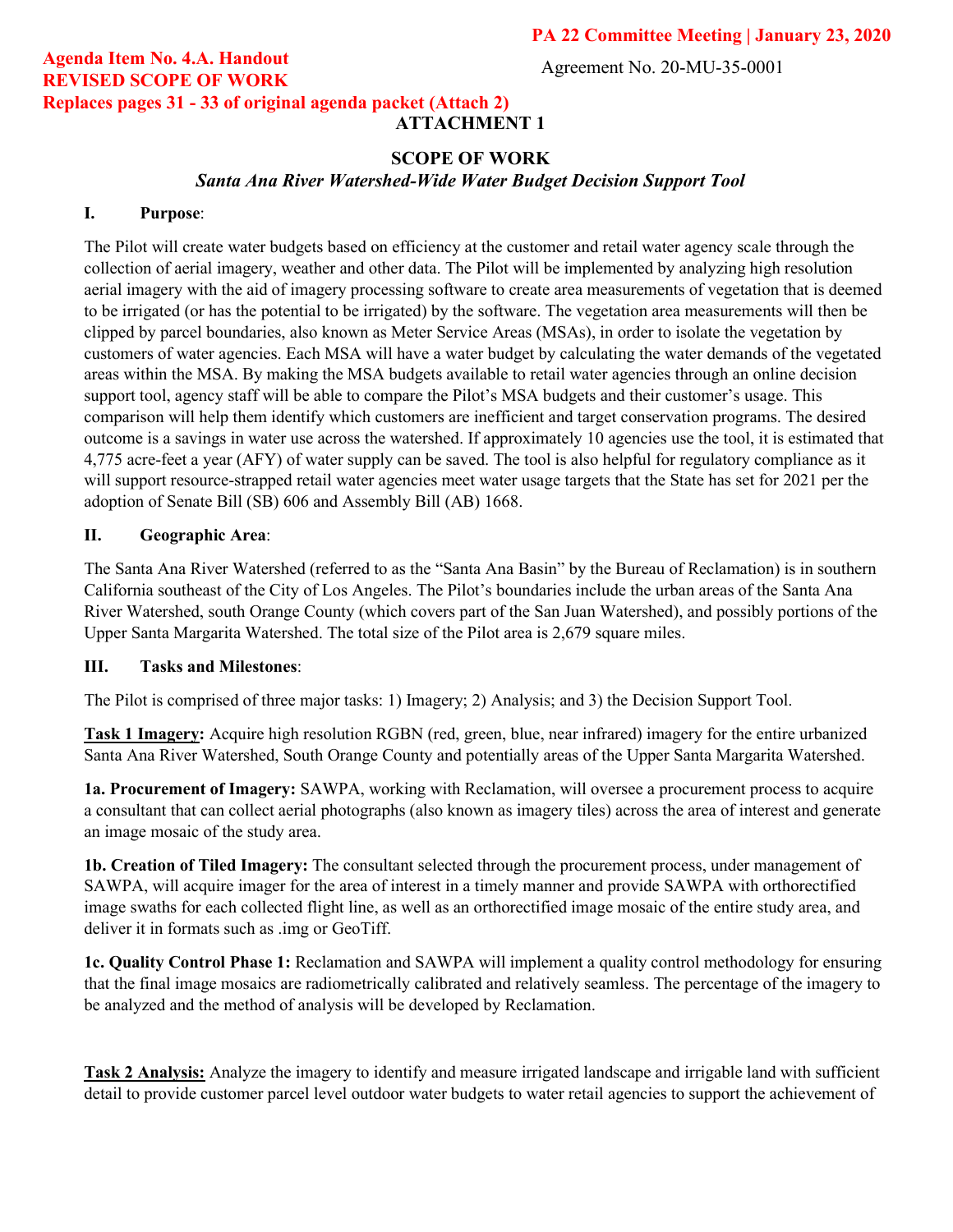Agreement No. 20-MU-35-0001

## **Agenda Item No. 4.A. Handout REVISED SCOPE OF WORK Replaces pages 31 - 33 of original agenda packet (Attach 2)**

# **ATTACHMENT 1**

### **SCOPE OF WORK**

*Santa Ana River Watershed-Wide Water Budget Decision Support Tool* 

#### **I. Purpose**:

The Pilot will create water budgets based on efficiency at the customer and retail water agency scale through the collection of aerial imagery, weather and other data. The Pilot will be implemented by analyzing high resolution aerial imagery with the aid of imagery processing software to create area measurements of vegetation that is deemed to be irrigated (or has the potential to be irrigated) by the software. The vegetation area measurements will then be clipped by parcel boundaries, also known as Meter Service Areas (MSAs), in order to isolate the vegetation by customers of water agencies. Each MSA will have a water budget by calculating the water demands of the vegetated areas within the MSA. By making the MSA budgets available to retail water agencies through an online decision support tool, agency staff will be able to compare the Pilot's MSA budgets and their customer's usage. This comparison will help them identify which customers are inefficient and target conservation programs. The desired outcome is a savings in water use across the watershed. If approximately 10 agencies use the tool, it is estimated that 4,775 acre-feet a year (AFY) of water supply can be saved. The tool is also helpful for regulatory compliance as it will support resource-strapped retail water agencies meet water usage targets that the State has set for 2021 per the adoption of Senate Bill (SB) 606 and Assembly Bill (AB) 1668.

#### **II. Geographic Area**:

The Santa Ana River Watershed (referred to as the "Santa Ana Basin" by the Bureau of Reclamation) is in southern California southeast of the City of Los Angeles. The Pilot's boundaries include the urban areas of the Santa Ana River Watershed, south Orange County (which covers part of the San Juan Watershed), and possibly portions of the Upper Santa Margarita Watershed. The total size of the Pilot area is 2,679 square miles.

#### **III. Tasks and Milestones**:

The Pilot is comprised of three major tasks: 1) Imagery; 2) Analysis; and 3) the Decision Support Tool.

**Task 1 Imagery:** Acquire high resolution RGBN (red, green, blue, near infrared) imagery for the entire urbanized Santa Ana River Watershed, South Orange County and potentially areas of the Upper Santa Margarita Watershed.

**1a. Procurement of Imagery:** SAWPA, working with Reclamation, will oversee a procurement process to acquire a consultant that can collect aerial photographs (also known as imagery tiles) across the area of interest and generate an image mosaic of the study area.

**1b. Creation of Tiled Imagery:** The consultant selected through the procurement process, under management of SAWPA, will acquire imager for the area of interest in a timely manner and provide SAWPA with orthorectified image swaths for each collected flight line, as well as an orthorectified image mosaic of the entire study area, and deliver it in formats such as .img or GeoTiff.

**1c. Quality Control Phase 1:** Reclamation and SAWPA will implement a quality control methodology for ensuring that the final image mosaics are radiometrically calibrated and relatively seamless. The percentage of the imagery to be analyzed and the method of analysis will be developed by Reclamation.

**Task 2 Analysis:** Analyze the imagery to identify and measure irrigated landscape and irrigable land with sufficient detail to provide customer parcel level outdoor water budgets to water retail agencies to support the achievement of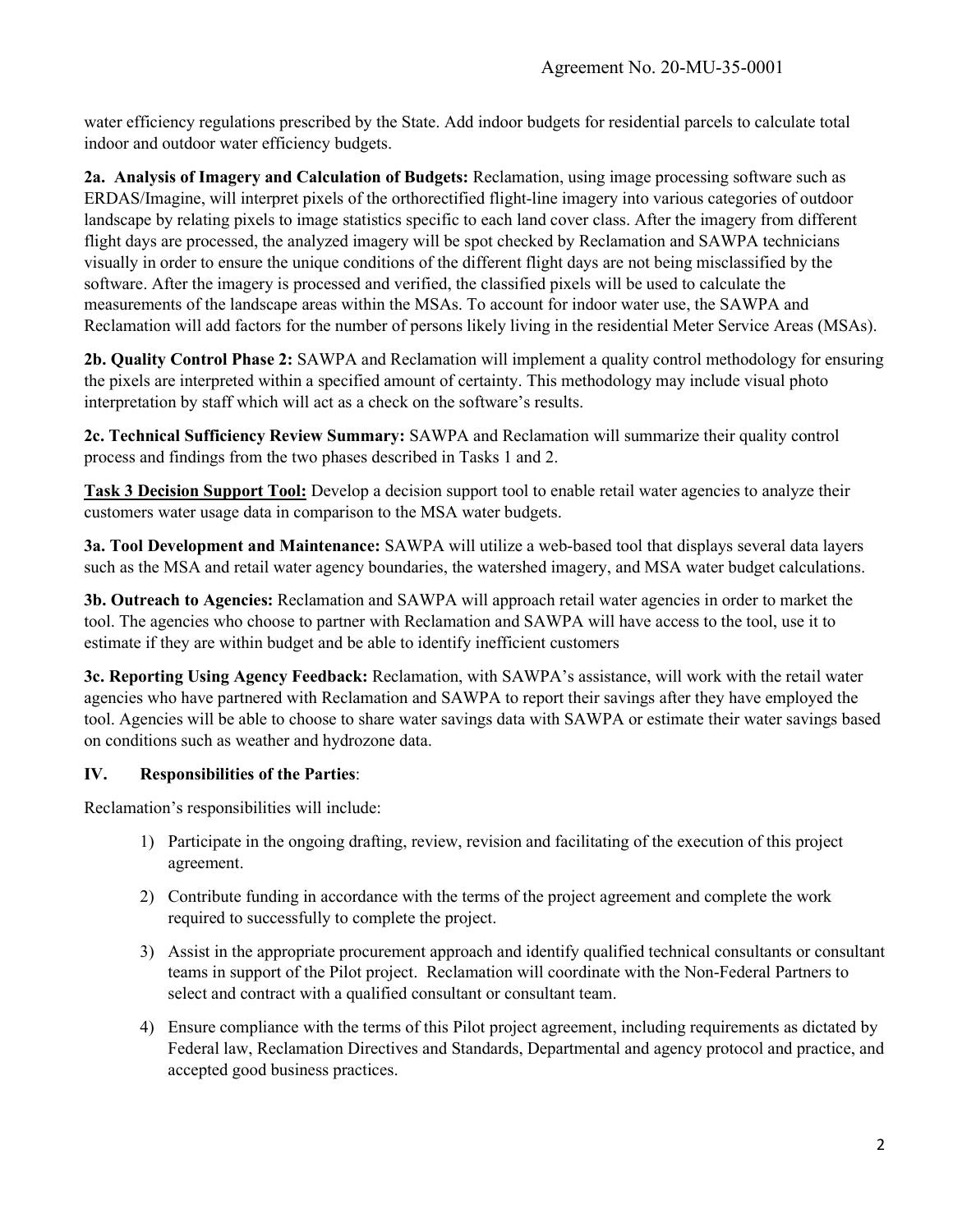water efficiency regulations prescribed by the State. Add indoor budgets for residential parcels to calculate total indoor and outdoor water efficiency budgets.

**2a. Analysis of Imagery and Calculation of Budgets:** Reclamation, using image processing software such as ERDAS/Imagine, will interpret pixels of the orthorectified flight-line imagery into various categories of outdoor landscape by relating pixels to image statistics specific to each land cover class. After the imagery from different flight days are processed, the analyzed imagery will be spot checked by Reclamation and SAWPA technicians visually in order to ensure the unique conditions of the different flight days are not being misclassified by the software. After the imagery is processed and verified, the classified pixels will be used to calculate the measurements of the landscape areas within the MSAs. To account for indoor water use, the SAWPA and Reclamation will add factors for the number of persons likely living in the residential Meter Service Areas (MSAs).

**2b. Quality Control Phase 2:** SAWPA and Reclamation will implement a quality control methodology for ensuring the pixels are interpreted within a specified amount of certainty. This methodology may include visual photo interpretation by staff which will act as a check on the software's results.

**2c. Technical Sufficiency Review Summary:** SAWPA and Reclamation will summarize their quality control process and findings from the two phases described in Tasks 1 and 2.

**Task 3 Decision Support Tool:** Develop a decision support tool to enable retail water agencies to analyze their customers water usage data in comparison to the MSA water budgets.

**3a. Tool Development and Maintenance:** SAWPA will utilize a web-based tool that displays several data layers such as the MSA and retail water agency boundaries, the watershed imagery, and MSA water budget calculations.

**3b. Outreach to Agencies:** Reclamation and SAWPA will approach retail water agencies in order to market the tool. The agencies who choose to partner with Reclamation and SAWPA will have access to the tool, use it to estimate if they are within budget and be able to identify inefficient customers

**3c. Reporting Using Agency Feedback:** Reclamation, with SAWPA's assistance, will work with the retail water agencies who have partnered with Reclamation and SAWPA to report their savings after they have employed the tool. Agencies will be able to choose to share water savings data with SAWPA or estimate their water savings based on conditions such as weather and hydrozone data.

### **IV. Responsibilities of the Parties**:

Reclamation's responsibilities will include:

- 1) Participate in the ongoing drafting, review, revision and facilitating of the execution of this project agreement.
- 2) Contribute funding in accordance with the terms of the project agreement and complete the work required to successfully to complete the project.
- 3) Assist in the appropriate procurement approach and identify qualified technical consultants or consultant teams in support of the Pilot project. Reclamation will coordinate with the Non-Federal Partners to select and contract with a qualified consultant or consultant team.
- 4) Ensure compliance with the terms of this Pilot project agreement, including requirements as dictated by Federal law, Reclamation Directives and Standards, Departmental and agency protocol and practice, and accepted good business practices.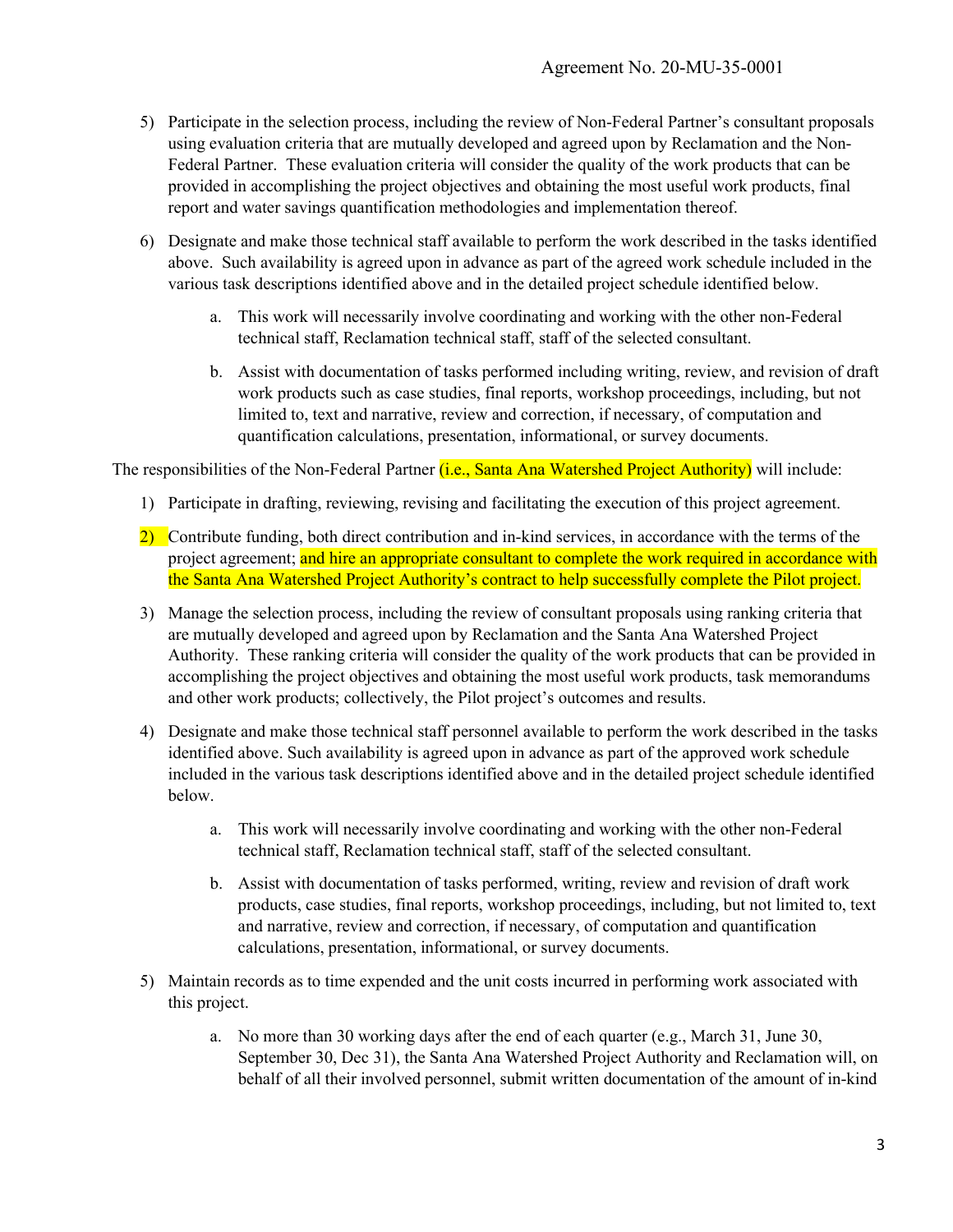- 5) Participate in the selection process, including the review of Non-Federal Partner's consultant proposals using evaluation criteria that are mutually developed and agreed upon by Reclamation and the Non-Federal Partner. These evaluation criteria will consider the quality of the work products that can be provided in accomplishing the project objectives and obtaining the most useful work products, final report and water savings quantification methodologies and implementation thereof.
- 6) Designate and make those technical staff available to perform the work described in the tasks identified above. Such availability is agreed upon in advance as part of the agreed work schedule included in the various task descriptions identified above and in the detailed project schedule identified below.
	- a. This work will necessarily involve coordinating and working with the other non-Federal technical staff, Reclamation technical staff, staff of the selected consultant.
	- b. Assist with documentation of tasks performed including writing, review, and revision of draft work products such as case studies, final reports, workshop proceedings, including, but not limited to, text and narrative, review and correction, if necessary, of computation and quantification calculations, presentation, informational, or survey documents.

The responsibilities of the Non-Federal Partner *(i.e., Santa Ana Watershed Project Authority)* will include:

- 1) Participate in drafting, reviewing, revising and facilitating the execution of this project agreement.
- 2) Contribute funding, both direct contribution and in-kind services, in accordance with the terms of the project agreement; and hire an appropriate consultant to complete the work required in accordance with the Santa Ana Watershed Project Authority's contract to help successfully complete the Pilot project.
- 3) Manage the selection process, including the review of consultant proposals using ranking criteria that are mutually developed and agreed upon by Reclamation and the Santa Ana Watershed Project Authority. These ranking criteria will consider the quality of the work products that can be provided in accomplishing the project objectives and obtaining the most useful work products, task memorandums and other work products; collectively, the Pilot project's outcomes and results.
- 4) Designate and make those technical staff personnel available to perform the work described in the tasks identified above. Such availability is agreed upon in advance as part of the approved work schedule included in the various task descriptions identified above and in the detailed project schedule identified below.
	- a. This work will necessarily involve coordinating and working with the other non-Federal technical staff, Reclamation technical staff, staff of the selected consultant.
	- b. Assist with documentation of tasks performed, writing, review and revision of draft work products, case studies, final reports, workshop proceedings, including, but not limited to, text and narrative, review and correction, if necessary, of computation and quantification calculations, presentation, informational, or survey documents.
- 5) Maintain records as to time expended and the unit costs incurred in performing work associated with this project.
	- a. No more than 30 working days after the end of each quarter (e.g., March 31, June 30, September 30, Dec 31), the Santa Ana Watershed Project Authority and Reclamation will, on behalf of all their involved personnel, submit written documentation of the amount of in-kind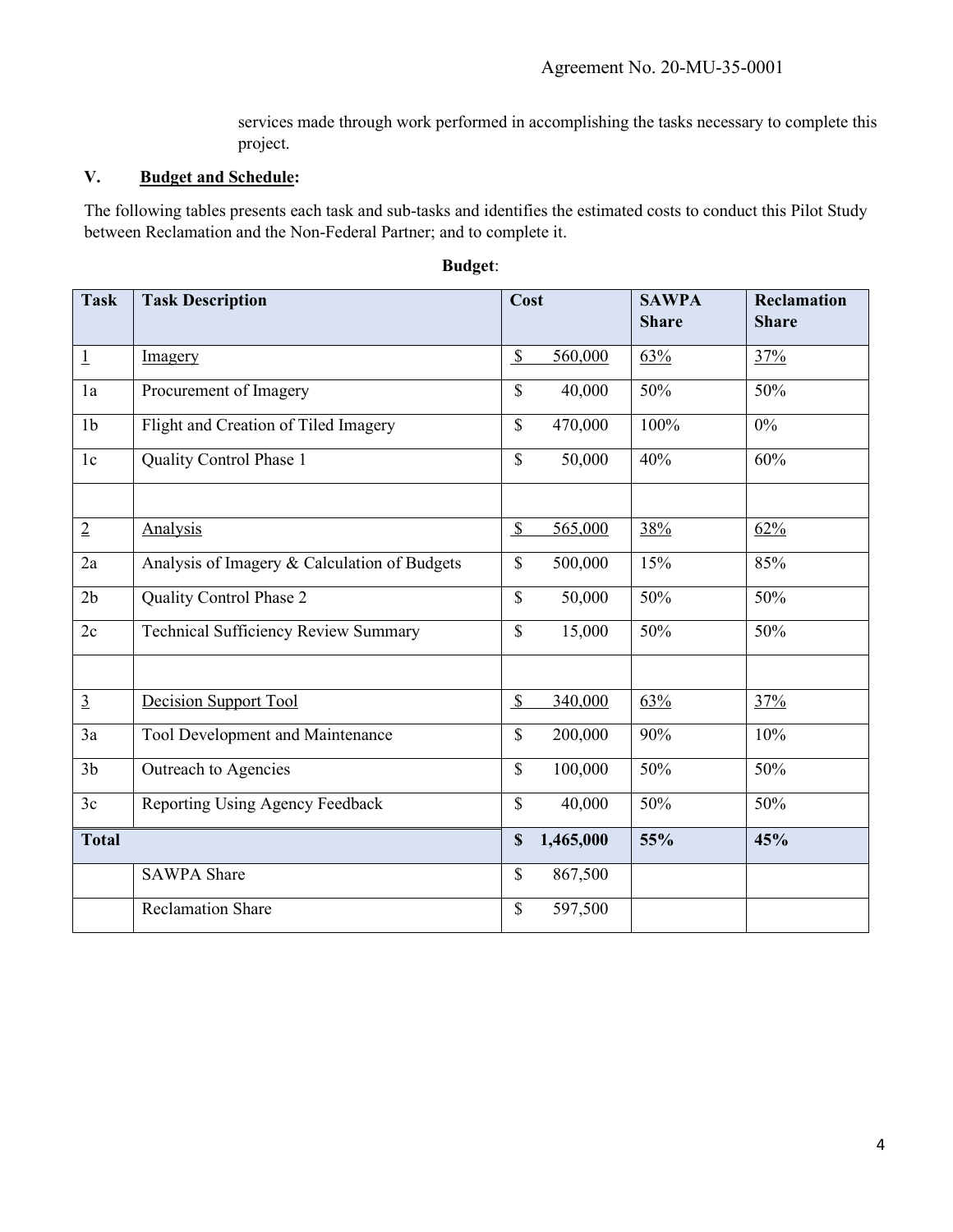services made through work performed in accomplishing the tasks necessary to complete this project.

### **V. Budget and Schedule:**

The following tables presents each task and sub-tasks and identifies the estimated costs to conduct this Pilot Study between Reclamation and the Non-Federal Partner; and to complete it.

| <b>Task</b>    | <b>Task Description</b>                      | Cost                      |           | <b>SAWPA</b><br><b>Share</b> | <b>Reclamation</b><br><b>Share</b> |
|----------------|----------------------------------------------|---------------------------|-----------|------------------------------|------------------------------------|
|                |                                              |                           |           |                              |                                    |
| $\perp$        | Imagery                                      | $\mathcal{S}$             | 560,000   | 63%                          | 37%                                |
| 1a             | Procurement of Imagery                       | $\mathbf S$               | 40,000    | 50%                          | 50%                                |
| 1 <sub>b</sub> | Flight and Creation of Tiled Imagery         | \$                        | 470,000   | 100%                         | $0\%$                              |
| 1c             | Quality Control Phase 1                      | $\mathbf S$               | 50,000    | 40%                          | 60%                                |
|                |                                              |                           |           |                              |                                    |
| $\overline{2}$ | Analysis                                     | $\mathcal{S}$             | 565,000   | 38%                          | 62%                                |
| 2a             | Analysis of Imagery & Calculation of Budgets | $\mathbb{S}$              | 500,000   | 15%                          | 85%                                |
| 2 <sub>b</sub> | Quality Control Phase 2                      | $\mathbb{S}$              | 50,000    | 50%                          | 50%                                |
| 2c             | Technical Sufficiency Review Summary         | $\mathbf S$               | 15,000    | 50%                          | 50%                                |
|                |                                              |                           |           |                              |                                    |
| $\overline{3}$ | Decision Support Tool                        | $\boldsymbol{\mathsf{S}}$ | 340,000   | 63%                          | 37%                                |
| 3a             | <b>Tool Development and Maintenance</b>      | $\mathbf S$               | 200,000   | 90%                          | 10%                                |
| 3 <sub>b</sub> | Outreach to Agencies                         | $\mathbf S$               | 100,000   | 50%                          | 50%                                |
| 3c             | Reporting Using Agency Feedback              | $\mathbb{S}$              | 40,000    | 50%                          | 50%                                |
| <b>Total</b>   |                                              | $\mathbf S$               | 1,465,000 | 55%                          | 45%                                |
|                | <b>SAWPA Share</b>                           | $\mathbf S$               | 867,500   |                              |                                    |
|                | <b>Reclamation Share</b>                     | $\mathbf S$               | 597,500   |                              |                                    |

#### **Budget**: